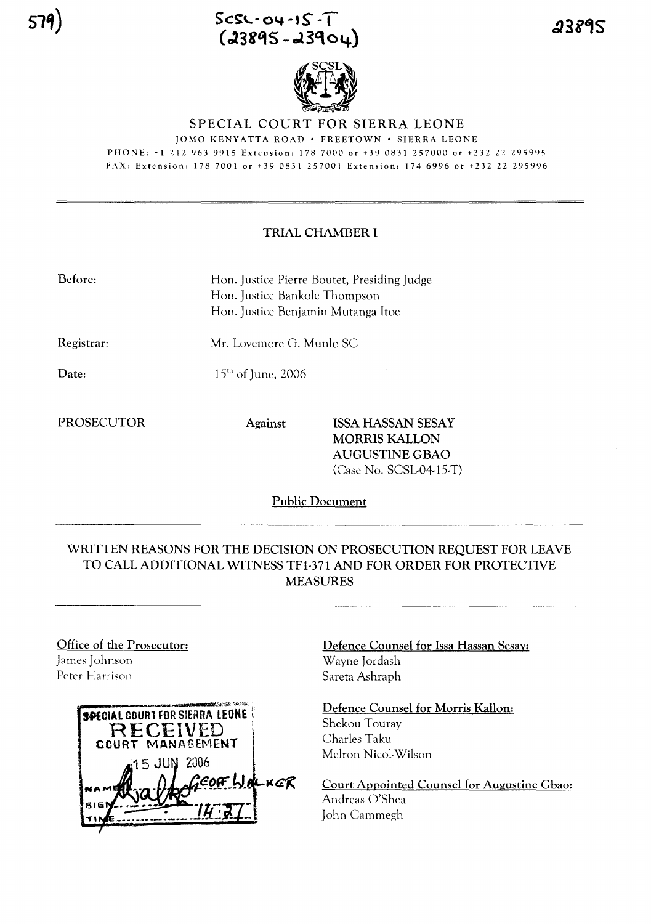



# SPECIAL COURT FOR SIERRA LEONE

JOMO KENYATTA ROAD· FREETOWN· SIERRA LEONE PHONE; +1 212 963 9915 Extension; 178 7000 or +390831 257000 or +232 22 295995 FAX; Extension; 178 7001 or +39 0831 257001 Extension, 174 6996 or +232 22 295996

## TRIAL CHAMBER I

| Before: | Hon. Justice Pierre Boutet, Presiding Judge |
|---------|---------------------------------------------|
|         | Hon. Justice Bankole Thompson               |
|         | Hon. Justice Benjamin Mutanga Itoe          |

Registrar:

 $15<sup>th</sup>$  of June, 2006

Mr. Lovemore G. Munlo SC

Date:

PROSECUTOR Against ISSA HASSAN SESAY MORRIS KALLON AUGUSTINE GBAO (Case No. SCSL-04-15-T)

Public Document

# WRITTEN REASONS FOR THE DECISION ON PROSECUTION REQUEST FOR LEAVE TO CALL ADDITIONAL WITNESS TFl-371 AND FOR ORDER FOR PROTECTIVE MEASURES

Office of the Prosecutor: James Johnson Peter Harrison



Defence Counsel for Issa Hassan Sesay: Wayne Jordash Sareta Ashraph

Defence Counsel for Morris Kallon:

Shekou Touray Charles Taku Melron Nicol-Wilson

Court Appointed Counsel for Augustine Gbao: Andreas O'Shea John Cammegh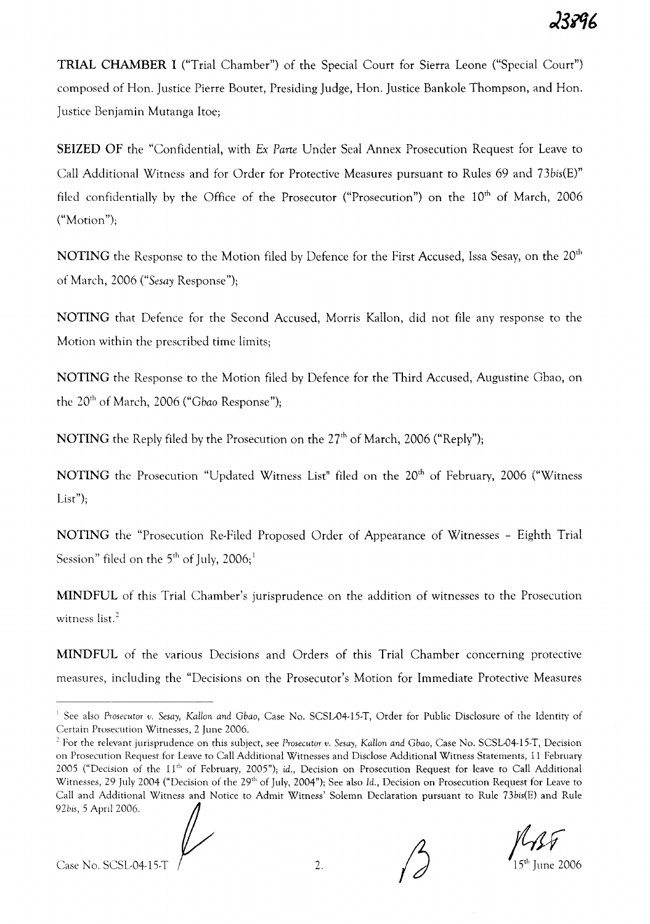**TRIAL CHAMBER I** ("Trial Chamber") of the Special Court for Sierra Leone ("Special Court") composed of Hon. Justice Pierre Boutet, Presiding Judge, Hon. Justice Bankole Thompson, and Hon. Justice Benjamin Mutanga Itoe;

**SEIZED OF** the "Confidential, with *Ex Parte* Under Seal Annex Prosecution Request for Leave to Call Additional Witness and for Order for Protective Measures pursuant to Rules 69 and 73bis(E)" filed confidentially by the Office of the Prosecutor ("Prosecution") on the  $10<sup>th</sup>$  of March, 2006  $("Motion";$ 

**NOTING** the Response to the Motion filed by Defence for the First Accused, Issa Sesay, on the 20th of March, 2006 *("Sesay* Response");

**NOTING** that Defence for the Second Accused, Morris Kallon, did not file any response to the Motion within the prescribed time limits;

**NOTING** the Response to the Motion filed by Defence for the Third Accused, Augustine Gbao, on the 20<sup>th</sup> of March, 2006 ("Gbao Response");

**NOTING** the Reply filed by the Prosecution on the 27<sup>th</sup> of March, 2006 ("Reply");

NOTING the Prosecution "Updated Witness List" filed on the 20<sup>th</sup> of February, 2006 ("Witness List";

**NOTING** the "Prosecution Re-Filed Proposed Order of Appearance of Witnesses - Eighth Trial Session" filed on the  $5<sup>th</sup>$  of July, 2006;<sup>1</sup>

**MINDFUL** of this Trial Chamber's jurisprudence on the addition of witnesses to the Prosecution witness list.<sup>2</sup>

**MINDFUL** of the various Decisions and Orders of this Trial Chamber concerning protective measures, including the "Decisions on the Prosecutor's Motion for Immediate Protective Measures

<sup>2</sup> For the relevant jurisprudence on this subject, see *Prosecutor v. Sesay, KaHon and Gbao,* Case No. SCSL-04·15.T, Decision on Prosecution Request for Leave to Call Additional Witnesses and Disclose Additional Witness Statements, 11 February 2005 ("Decision of the  $11<sup>th</sup>$  of February, 2005"); id., Decision on Prosecution Request for leave to Call Additional Witnesses, 29 July 2004 ("Decision of the 29<sup>th</sup> of July, 2004"); See also Id., Decision on Prosecution Request for Leave to Call and Additional Witness and Notice to Admit Witness' Solemn Declaration pursuant to Rule 73bis(E) and Rule 92bis, 5 April 2006.



<sup>&</sup>lt;sup>1</sup> See also *Prosecutor v. Sesay, Kallon and Gbao, Case No. SCSL-04-15-T, Order for Public Disclosure of the Identity of* Certain Prosecution Witnesses, 2 June 2006.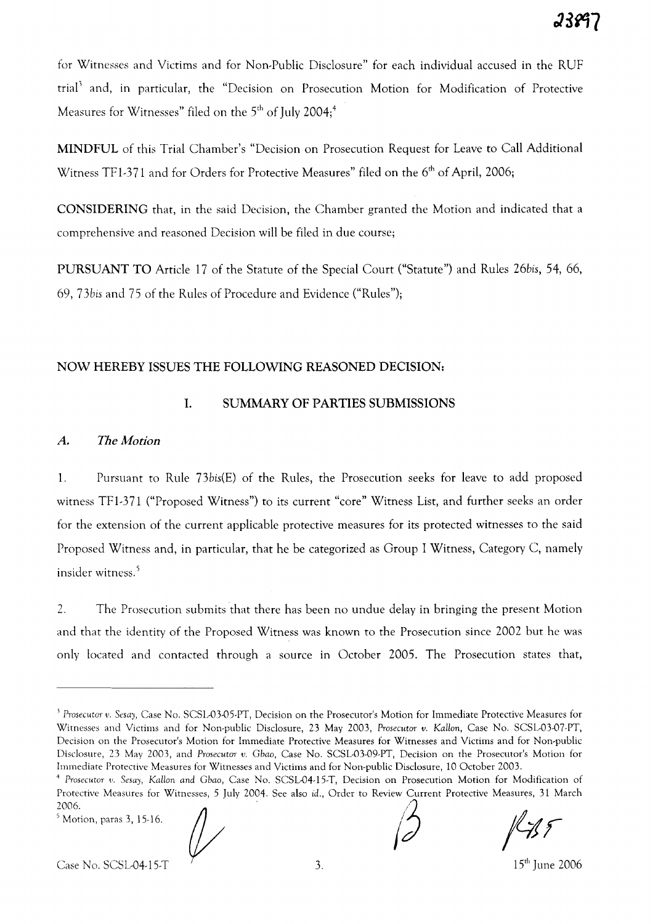for Witnesses and Victims and for Non-Public Disclosure" for each individual accused in the RUF trial' and, in particular, the "Decision on Prosecution Motion for Modification of Protective Measures for Witnesses" filed on the  $5<sup>th</sup>$  of July 2004;<sup>4</sup>

MINDFUL of this Trial Chamber's "Decision on Prosecution Request for Leave to Call Additional Witness TF1-371 and for Orders for Protective Measures" filed on the 6<sup>th</sup> of April, 2006;

CONSIDERING that, in the said Decision, the Chamber granted the Motion and indicated that a comprehensive and reasoned Decision will be filed in due course;

PURSUANT TO Article 17 of the Statute of the Special Court ("Statute") and Rules *26bis,* 54, 66, *69, 73bis* and 75 of the Rules of Procedure and Evidence ("Rules");

#### NOW HEREBY ISSUES THE FOLLOWING REASONED DECISION:

# 1. SUMMARY OF PARTIES SUBMISSIONS

## *A. The Motion*

1. Pursuant to Rule *73bis(E)* of the Rules, the Prosecution seeks for leave to add proposed witness TF1-371 ("Proposed Witness") to its current "core" Witness List, and further seeks an order for the extension of the current applicable protective measures for its protected witnesses to the said Proposed Witness and, in particular, that he be categorized as Group I Witness, Category C, namely insider witness. <sup>5</sup>

2. The Prosecution submits that there has been no undue delay in bringing the present Motion and that the identity of the Proposed Witness was known to the Prosecution since 2002 but he was only located and contacted through a source in October 2005. The Prosecution states that,

<sup>J</sup> *Prosecutor v. Sesay,* Case No. SCSL-03-0S-PT, Decision on the Prosecutor's Motion for Immediate Protective Measures for Witnesses and Victims and for Non-public Disclosure, 23 May 2003, *Prosecutor v. Kallon,* Case No. SCSL-03-07-PT, Decision on the Prosecutor's Motion for Immediate Protective Measures for Witnesses and Victims and for Non-public Disclosure, 23 May 2003, and *Prosecutor* v. Gbao, Case No. SCSL-03-09-PT, Decision on the Prosecutor's Motion for Immediate Protective Measures for Witnesses and Victims and for Non-public Disclosure, 10 October 2003.

<sup>4</sup> *Prosecutor* ~'. *Sesay, Kallon and Gbao,* Case No. SCSL-04-15-T, Decision on Prosecution Motion for Modification of Protective Measures for Witnesses,S July 2004. See also id., Order to Review Current Protective Measures, 31 March 2006. /2 2006.<br><sup>5</sup> Motion, paras 3, 15-16. <br>*(2)* <br>*(2)* <br>*(2)* <br>*(2)* <br>*(2)* <br>*(2)* <br>*(2)* <br>*(2)* <br>*(2)* <br>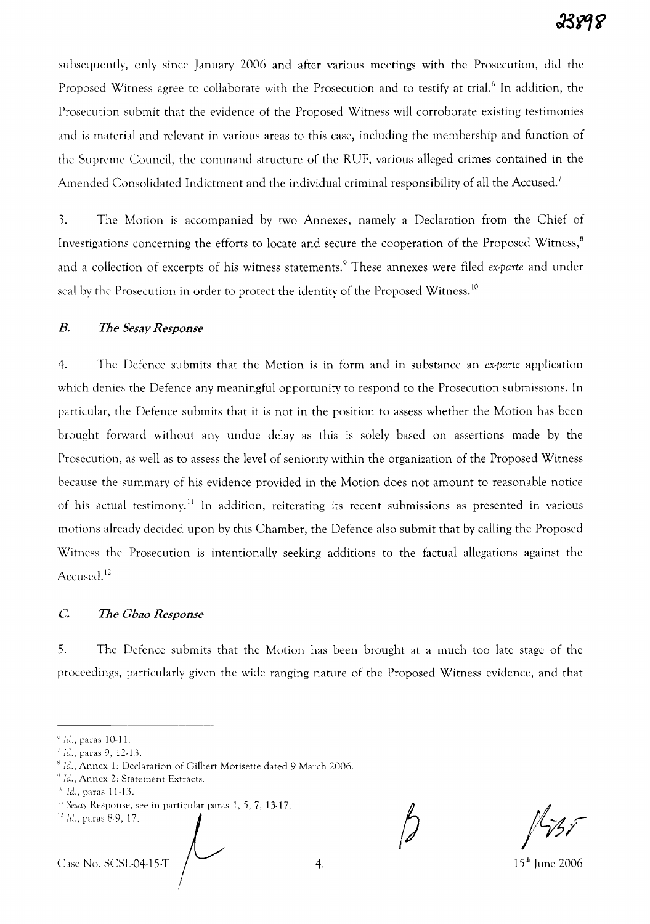subsequently, only since January 2006 and after various meetings with the Prosecution, did the Proposed Witness agree to collaborate with the Prosecution and to testify at trial.<sup>6</sup> In addition, the Prosecution submit that the evidence of the Proposed Witness will corroborate existing testimonies and is material and relevant in various areas to this case, including the membership and function of the Supreme Council, the command structure of the RUF, various alleged crimes contained in the Amended Consolidated Indictment and the individual criminal responsibility of all the Accused.<sup>7</sup>

3. The Motion is accompanied by two Annexes, namely a Declaration from the Chief of Investigations concerning the efforts to locate and secure the cooperation of the Proposed Witness,<sup>8</sup> and a collection of excerpts of his witness statements. <sup>9</sup> These annexes were filed *ex-parte* and under seal by the Prosecution in order to protect the identity of the Proposed Witness.<sup>10</sup>

#### *B. The Sesay Response*

4. The Defence submits that the Motion is in form and in substance an *ex-parte* application which denies the Defence any meaningful opportunity to respond to the Prosecution submissions. In particular, the Defence submits that it is not in the position to assess whether the Motion has been brought forward without any undue delay as this is solely based on assertions made by the Prosecution, as well as to assess the level of seniority within the organization of the Proposed Witness because the summary of his evidence provided in the Motion does not amount to reasonable notice of his actual testimony.<sup>11</sup> In addition, reiterating its recent submissions as presented in various motions already decided upon by this Chamber, the Defence also submit that by calling the Proposed Witness the Prosecution is intentionally seeking additions to the factual allegations against the Accused.<sup>12</sup>

#### c: *The Chao Response*

5. The Defence submits that the Motion has been brought at a much too late stage of the proceedings, particularly given the wide ranging nature of the Proposed Witness evidence, and that

 $Case No. SCSLO4-15-T$   $/$   $4.$  4. 15<sup>th</sup> June 2006

 $\degree$  Id., paras 10-11.

*<sup>7</sup>* Id., paras 9, 12-13.

<sup>8</sup> Id., Annex 1: Declaration of Gilbert Morisette dated 9 March 2006.

 $^9$  Id., Annex 2: Statement Extracts.

 $10$  Id., paras 11-13.

II *Sesay* Response, see in particular paras 1, *S,* 7, 13-17.

<sup>12</sup> Id., paras 8-9, 17.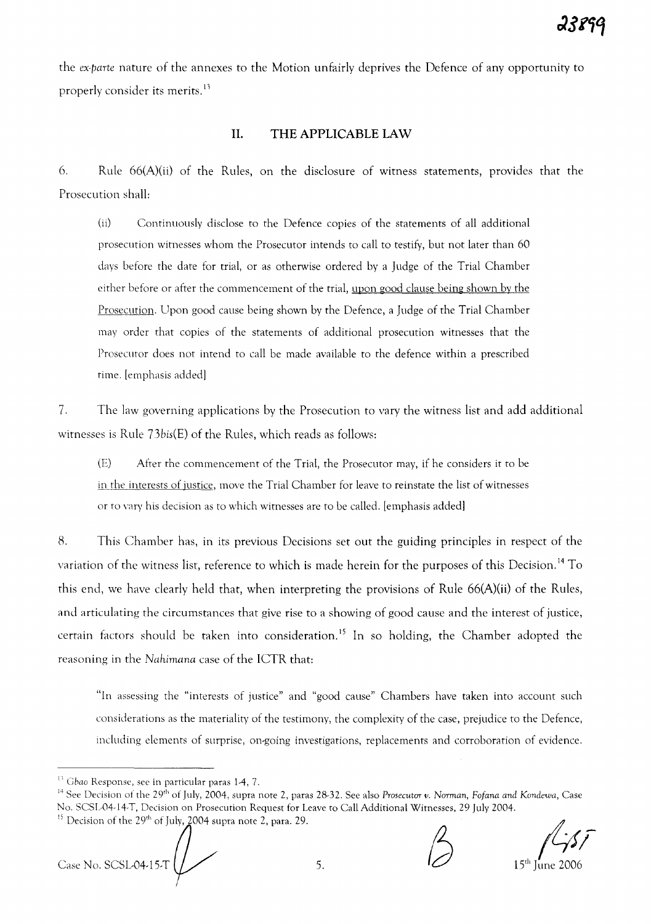the *ex-parte* nature of the annexes to the Motion unfairly deprives the Defence of any opportunity to properly consider its merits.<sup>13</sup>

# **II. THE APPLICABLE LAW**

6. Rule 66(A)(ii) of the Rules, on the disclosure of witness statements, provides that the Prosecution shall:

(ii) Continuously disclose to the Defence copies of the statements of all additional prosecution witnesses whom the Prosecutor intends to call to testifY, but not later than 60 days before the date for trial, or as otherwise ordered by a Judge of the Trial Chamber either before or after the commencement of the trial, upon good clause being shown by the Prosecution. Upon good cause being shown by the Defence, a Judge of the Trial Chamber may order that copies of the statements of additional prosecution witnesses that the Prosecutor does not intend to call be made available to the defence within a prescribed time. [emphasis added]

7. The law governing applications by the Prosecution to vary the witness list and add additional witnesses is Rule 73bis(E) of the Rules, which reads as follows:

(E) After the commencement of the Trial, the Prosecutor may, if he considers it to be in the interests of justice, move the Trial Chamber for leave to reinstate the list of witnesses or to vary his decision as to which witnesses are to be called. [emphasis added]

8. This Chamber has, in its previous Decisions set out the guiding principles in respect of the variation of the witness list, reference to which is made herein for the purposes of this Decision. <sup>14</sup> To this end, we have clearly held that, when interpreting the provisions of Rule 66(A)(ii) of the Rules, and articulating the circumstances that give rise to a showing of good cause and the interest of justice, certain factors should be taken into consideration. <sup>15</sup> **In** so holding, the Chamber adopted the reasoning in the *Nahimana* case of the ICTR that:

"In assessing the "interests of justice" and "good cause" Chambers have taken into account such considerations as the materiality of the testimony, the complexity of the case, prejudice to the Defence, including elements of surprise, on-going investigations, replacements and corroboration of evidence.

15 Decision of the 29<sup>th</sup> of July, 2004 supra note 2, para. 29.<br>
<sup>15</sup> Decision of the 29<sup>th</sup> of July, 2004 supra note 2, para. 29.<br>
Case No. SCSL-04-15-T

 $1155$ 

 $15<sup>th</sup>$  June 2006

<sup>&</sup>lt;sup>13</sup> Gbao Response, see in particular paras 1-4, 7.

<sup>14</sup> See Decision of the 29th of July, 2004, supra note 2, paras 28-32. See also *Prosecutor v. Norman, Fofana and Kondewa,* Case No. SCSL-04-l4-T, Decision on Prosecution Request for Leave to Call Additional Witnesses, 29 July 2004.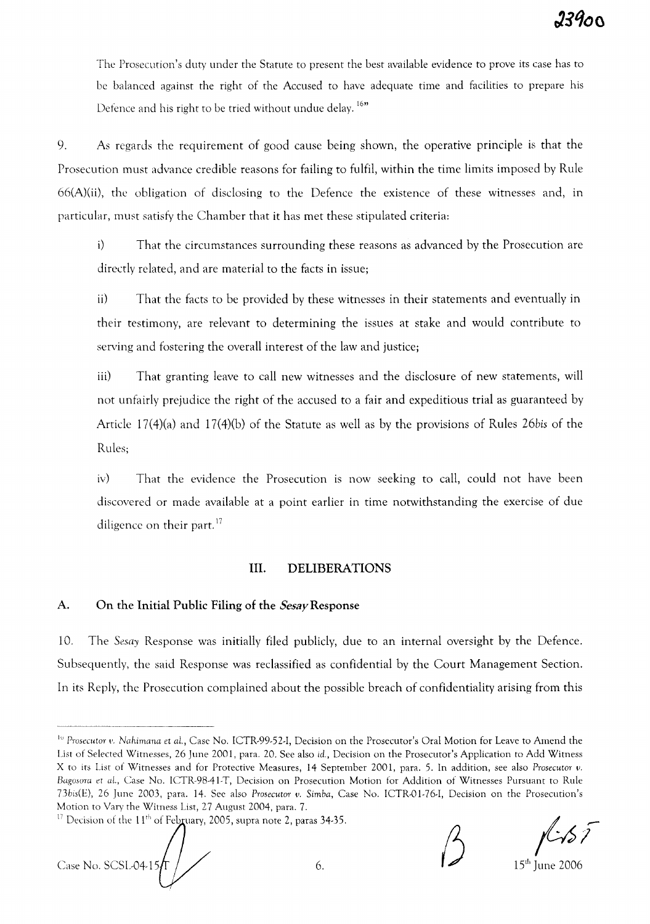The Prosecution's duty under the Statute to present the best available evidence to prove its case has to be balanced against the right of the Accused to have adequate time and facilities to prepare his Defence and his right to be tried without undue delay.<sup>16"</sup>

9. As regards the requirement of good cause being shown, the operative principle is that the Prosecution must advance credible reasons for failing to fulfil, within the time limits imposed by Rule 66(A)(ii), the obligation of disclosing to the Defence the existence of these witnesses and, in particular, must satisfy the Chamber that it has met these stipulated criteria:

i) That the circumstances surrounding these reasons as advanced by the Prosecution are directly related, and are material to the facts in issue;

ii) That the facts to be provided by these witnesses in their statements and eventually in their testimony, are relevant to determining the issues at stake and would contribute to serving and fostering the overall interest of the law and justice;

iii) That granting leave to call new witnesses and the disclosure of new statements, will not unfairly prejudice the right of the accused to a fair and expeditious trial as guaranteed by Article l7(4)(a) and 17(4)(b) of the Statute as well as by the provisions of Rules *26bis* of the Rules;

iv) That the evidence the Prosecution is now seeking to call, could not have been discovered or made available at a point earlier in time notwithstanding the exercise of due diligence on their part.<sup>17</sup>

# **Ill.** DELIBERATIONS

## A. On the Initial Public Filing of the *Sesay*Response

10. The *Sesay* Response was initially filed publicly, due to an internal oversight by the Defence. Subsequently, the said Response was reclassified as confidential by the Court Management Section. In its Reply, the Prosecution complained about the possible breach of confidentiality arising from this

Case No. SCSL-04-15  $\sqrt{5}$ <br>Case No. SCSL-04-15  $\sqrt{5}$ 

<sup>&</sup>lt;sup>10</sup> Prosecutor v. Nahimana et al., Case No. ICTR-99-52-I, Decision on the Prosecutor's Oral Motion for Leave to Amend the List of Selected Witnesses, 26 June 2001, para. 20. See also *id.,* Decision on the Prosecutor's Application to Add Witness X to its List of Witnesses and for Protective Measures, 14 September 2001, para. 5. In addition, see also *Prosecutor v. Bagosura et aI.,* Case No. ICTR-98-4I-T, Decision on Prosecution Motion for Addition of Witnesses Pursuant to Rule *73bis(E),* 26 June 2003, para. 14. See also *Prosecutor v. Simba,* Case No. ICTR-01-76-I, Decision on the Prosecution's Motion to Vary the Witness List, 27 August 2004, para. 7.

<sup>&</sup>lt;sup>17</sup> Decision of the 11<sup>th</sup> of February, 2005, supra note 2, paras 34-35.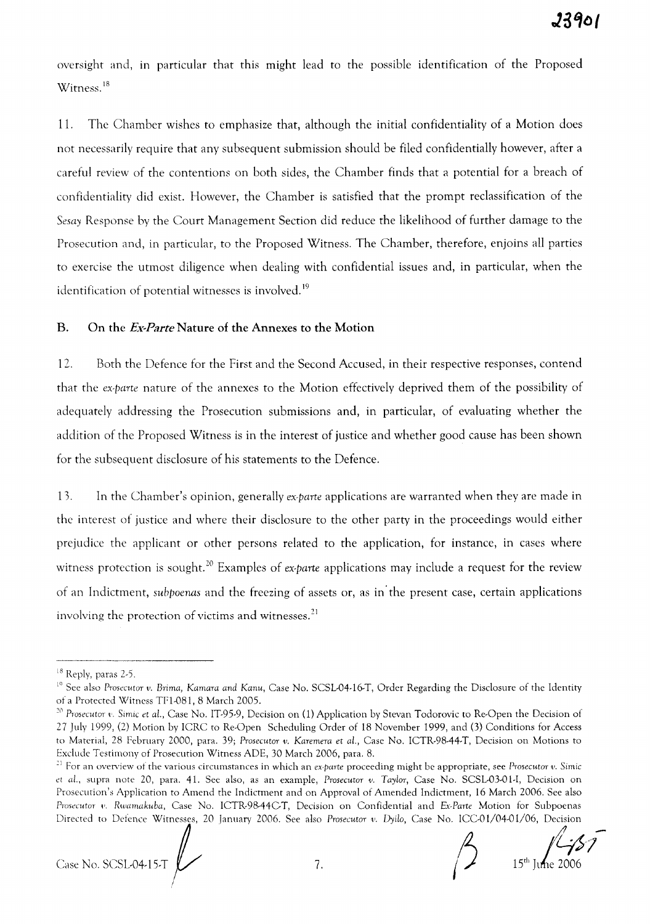oversight and, in particular that this might lead to the possible identification of the Proposed Witness.<sup>18</sup>

11. The Chamber wishes to emphasize that, although the initial confidentiality of a Motion does not necessarily require that any subsequent submission should be filed confidentially however, after a careful review of the contentions on both sides, the Chamber finds that a potential for a breach of confidentiality did exist. However, the Chamber is satisfied that the prompt reclassification of the *Sesay* Response by the Court Management Section did reduce the likelihood of further damage to the Prosecution and, in particular, to the Proposed Witness. The Chamber, therefore, enjoins all parties to exercise the utmost diligence when dealing with confidential issues and, in particular, when the identification of potential witnesses is involved.<sup>19</sup>

### B. On the *Ex-Parte* Nature of the Annexes to the Motion

12. Both the Defence for the First and the Second Accused, in their respective responses, contend that the *ex·parte* nature of the annexes to the Motion effectively deprived them of the possibility of adequately addressing the Prosecution submissions and, in particular, of evaluating whether the addition of the Proposed Witness is in the interest of justice and whether good cause has been shown for the subsequent disclosure of his statements to the Defence.

13. In the Chamber's opinion, generally *ex·parte* applications are warranted when they are made in the interest of justice and where their disclosure to the other party in the proceedings would either prejudice the applicant or other persons related to the application, for instance, in cases where witness protection is sought. <sup>20</sup> Examples of *ex·parte* applications may include a request for the review of an Indictment, *subpoenas* and the freezing of assets or, as in' the present case, certain applications involving the protection of victims and witnesses. <sup>21</sup>

Case No. SCSL04-15-T  $\bigvee$  7.  $\bigvee$  15<sup>th</sup> June 2006

<sup>18</sup> Reply, paras 2-5.

<sup>&</sup>lt;sup>19</sup> See also Prosecutor *v. Brima, Kamara and Kanu*, Case No. SCSL-04-16-T, Order Regarding the Disclosure of the Identity of a Protected Witness TF1-081, 8 March 2005.

<sup>&</sup>lt;sup>20</sup> Prosecutor v. Simic et al., Case No. IT-95-9, Decision on (1) Application by Stevan Todorovic to Re-Open the Decision of 27 July 1999, (2) Motion by ICRC to Re-Open Scheduling Order of 18 November 1999, and (3) Conditions for Access to Material, 28 Febrttary 2000, para. 39; *Prosecutor v. Karemera* et aL, Case No. ICTR-98A4-T, Decision on Motions to Exclude Testimony of Prosecution Witness ADE, 30 March 2006, para. 8.

<sup>21</sup> For an overview of the various circumstances in which an *ex·parte* proceeding might be appropriate, see *Prosecutor v. Simic* et al., supra note 20, para. 41. See also, as an example, Prosecutor v. Taylor, Case No. SCSL-03-01-I, Decision on Prosecution's Application to Amend the Indictment and on Approval of Amended Indictment, 16 March 2006. See also *Prosecutor* I'. *Rwamakuba,* Case No. ICTR-98A4GT, Decision on Confidential and *Ex·Parte* Motion for Subpoenas Directed to Defence Witnesses, 20 January 2006. See also Prosecutor v. Dyilo, Case No. ICC-01/04-01/06, Decision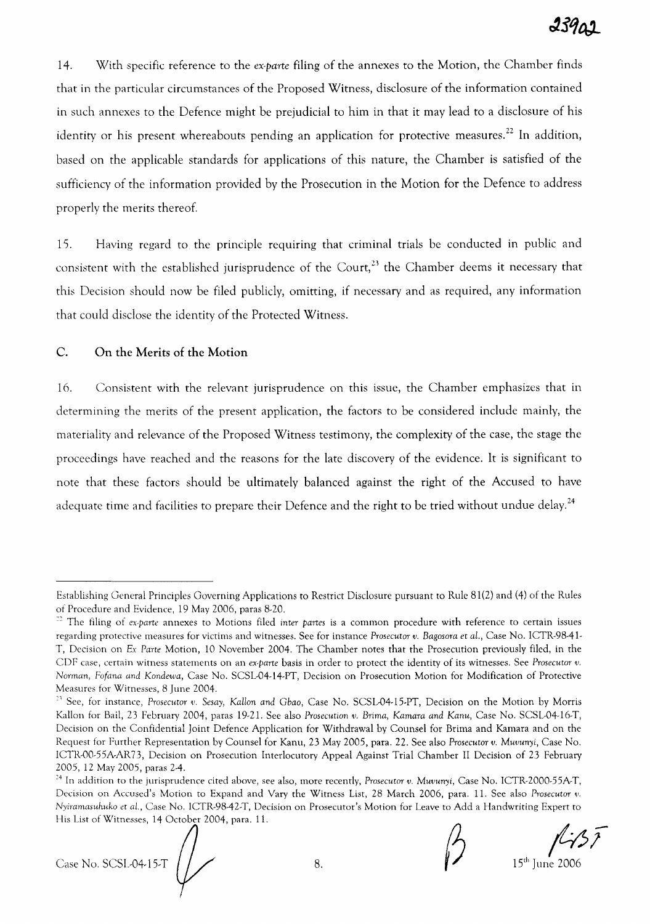14. With specific reference to the *ex-parte* filing of the annexes to the Motion, the Chamber finds that in the particular circumstances of the Proposed Witness, disclosure of the information contained in such annexes to the Defence might be prejudicial to him in that it may lead to a disclosure of his identity or his present whereabouts pending an application for protective measures.<sup>22</sup> In addition, based on the applicable standards for applications of this nature, the Chamber is satisfied of the sufficiency of the information provided by the Prosecution in the Motion for the Defence to address properly the merits thereof.

15. Having regard to the principle requiring that criminal trials be conducted in public and consistent with the established jurisprudence of the Court,<sup>23</sup> the Chamber deems it necessary that this Decision should now be filed publicly, omitting, if necessary and as required, any information that could disclose the identity of the Protected Witness.

# C. On the Merits of the Motion

16. Consistent with the relevant jurisprudence on this issue, the Chamber emphasizes that in determining the merits of the present application, the factors to be considered include mainly, the materiality and relevance of the Proposed Witness testimony, the complexity of the case, the stage the proceedings have reached and the reasons for the late discovery of the evidence. It is significant to note that these factors should be ultimately balanced against the right of the Accused to have adequate time and facilities to prepare their Defence and the right to be tried without undue delay.<sup>24</sup>

Fils List of Witnesses, 14 October 2004, para. 11.<br>Case No. SCSL-04-15-T  $\begin{pmatrix} 1 & 8 & 8 \end{pmatrix}$ <br>Case No. SCSL-04-15-T  $\begin{pmatrix} 1 & 8 \end{pmatrix}$ 

Establishing General Principles Governing Applications to Restrict Disclosure pursuant to Rule 81(2) and (4) of the Rules of Procedure and Evidence, 19 May 2006, paras 8-20.

<sup>:2</sup> The filing of *ex-parte* annexes to Motions filed *inter partes* is a common procedure with reference to certain issues regarding protective measures for victims and witnesses. See for instance *Prosecutor v. Bagosora* et *al.,* Case No. ICTR-98-41- T, Decision on Ex *Parte* Motion, 10 November 2004. The Chamber notes that the Prosecution previously filed, in the CDF case, certain witness statements on an *ex-parte* basis in order to protect the identity of its witnesses. See *Prosecutor v. Norman, Fofana and Kondewa,* Case No. SCSL-04-14-PT, Decision on Prosecution Motion for Modification of Protective Measures for Witnesses, 8 June 2004.

<sup>&</sup>lt;sup>23</sup> See, for instance, *Prosecutor v. Sesay*, Kallon and Gbao, Case No. SCSL-04-15-PT, Decision on the Motion by Morris Kallon for Bail, 23 February 2004, paras 19-21. See also Prosecution *v. Brima, Kamara and Kanu,* Case No. SCSL-04-16-T, Decision on the Confidential Joint Defence Application for Withdrawal by Counsel for Brima and Kamara and on the Request for Further Representation by Counsel for Kanu, 23 May 2005, para. 22. See also *Prosecutor v. Muvunyi,* Case No. lCTR·00·55A-AR73, Decision on Prosecution Interlocutory Appeal Against Trial Chamber II Decision of 23 February 2005, 12 May 2005, paras 2-4.

<sup>24</sup> In addition to the jurisprudence cited above, see also, more recently, *Prosecutor v. Muvunyi,* Case No. ICTR·2000·55A-T, Decision on Accused's Motion to Expand and Vary the Witness List, 28 March 2006, para. 11. See also *Prosecutor v. Nyiramasuhuko* et *aI.,* Case No. ICTR-98-42-T, Decision on Prosecutor's Motion for Leave to Add a Handwriting Expert to His List of Witnesses, 14 October 2004, para. 11.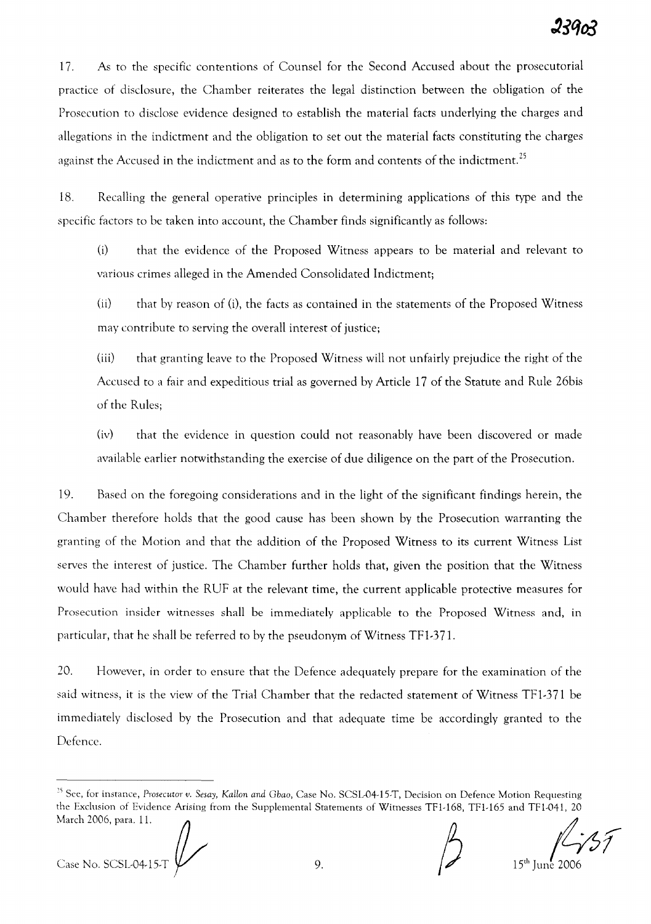17. As to the specific contentions of Counsel for the Second Accused about the prosecutorial practice of disclosure, the Chamber reiterates the legal distinction between the obligation of the Prosecution to disclose evidence designed to establish the material facts underlying the charges and allegations in the indictment and the obligation to set out the material facts constituting the charges against the Accused in the indictment and as to the form and contents of the indictment.<sup>25</sup>

18. Recalling the general operative principles in determining applications of this type and the specific factors to be taken into account, the Chamber finds significantly as follows:

0) that the evidence of the Proposed Witness appears to be material and relevant to various crimes alleged in the Amended Consolidated Indictment;

 $(i)$  that by reason of  $(i)$ , the facts as contained in the statements of the Proposed Witness may contribute to serving the overall interest of justice;

(iii) that granting leave to the Proposed Witness will not unfairly prejudice the right of the Accused to a fair and expeditious trial as governed by Article 17 of the Statute and Rule 26bis of the Rules;

(iv) that the evidence in question could not reasonably have been discovered or made available earlier notwithstanding the exercise of due diligence on the part of the Prosecution.

19. Based on the foregoing considerations and in the light of the significant findings herein, the Chamber therefore holds that the good cause has been shown by the Prosecution warranting the granting of the Motion and that the addition of the Proposed Witness to its current Witness List serves the interest of justice. The Chamber further holds that, given the position that the Witness would have had within the RUF at the relevant time, the current applicable protective measures for Prosecution insider witnesses shall be immediately applicable to the Proposed Witness and, in particular, that he shall be referred to by the pseudonym of Witness TFl-371.

20. However, in order to ensure that the Defence adequately prepare for the examination of the said witness, it is the view of the Trial Chamber that the redacted statement of Witness TFl-371 be immediately disclosed by the Prosecution and that adequate time be accordingly granted to the Defence.

Case No. SCSL-04-15-T  $\bigvee$  9. 15th June 2006

<sup>&</sup>lt;sup>25</sup> See, for instance, *Prosecutor v.* Sesay, Kallon and Gbao, Case No. SCSL-04-15-T, Decision on Defence Motion Requesting<br>the Exclusion of Evidence Arising from the Supplemental Statements of Witnesses TF1-168, TF1-16 the Exclusion of Evidence Arising from the Supplemental Statements of Witnesses TFl-168, TFl-165 and TFI-041, 20